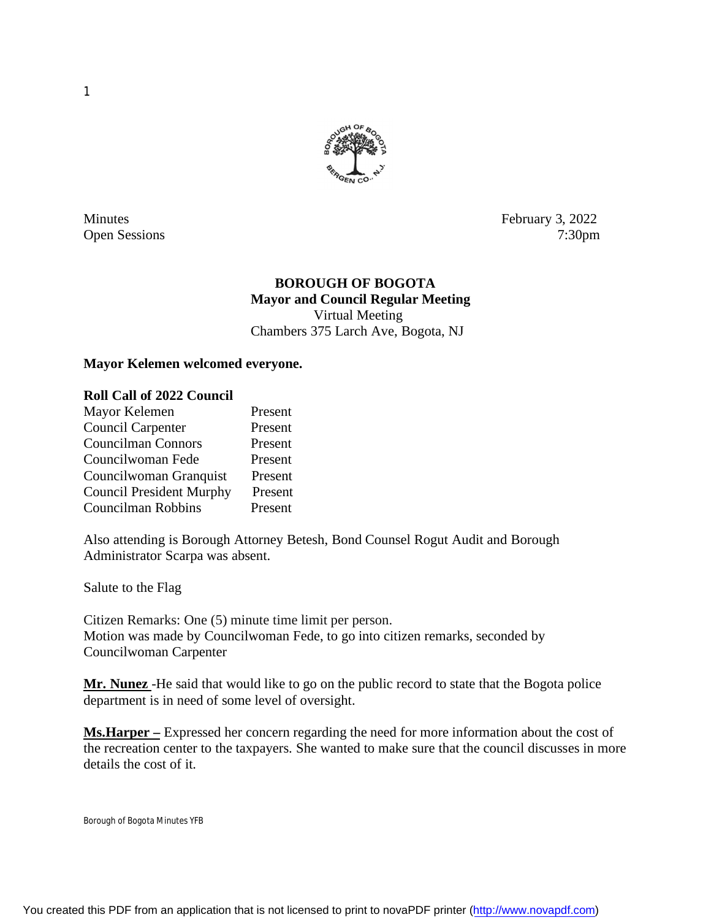

Minutes February 3, 2022 Open Sessions 7:30pm

## **BOROUGH OF BOGOTA Mayor and Council Regular Meeting** Virtual Meeting

Chambers 375 Larch Ave, Bogota, NJ

## **Mayor Kelemen welcomed everyone.**

#### **Roll Call of 2022 Council**

| Mayor Kelemen                   | Present |
|---------------------------------|---------|
| Council Carpenter               | Present |
| <b>Councilman Connors</b>       | Present |
| Councilwoman Fede               | Present |
| Councilwoman Granquist          | Present |
| <b>Council President Murphy</b> | Present |
| Councilman Robbins              | Present |

Also attending is Borough Attorney Betesh, Bond Counsel Rogut Audit and Borough Administrator Scarpa was absent.

Salute to the Flag

Citizen Remarks: One (5) minute time limit per person. Motion was made by Councilwoman Fede, to go into citizen remarks, seconded by Councilwoman Carpenter

**Mr. Nunez** -He said that would like to go on the public record to state that the Bogota police department is in need of some level of oversight.

**Ms.Harper –** Expressed her concern regarding the need for more information about the cost of the recreation center to the taxpayers. She wanted to make sure that the council discusses in more details the cost of it.

Borough of Bogota Minutes YFB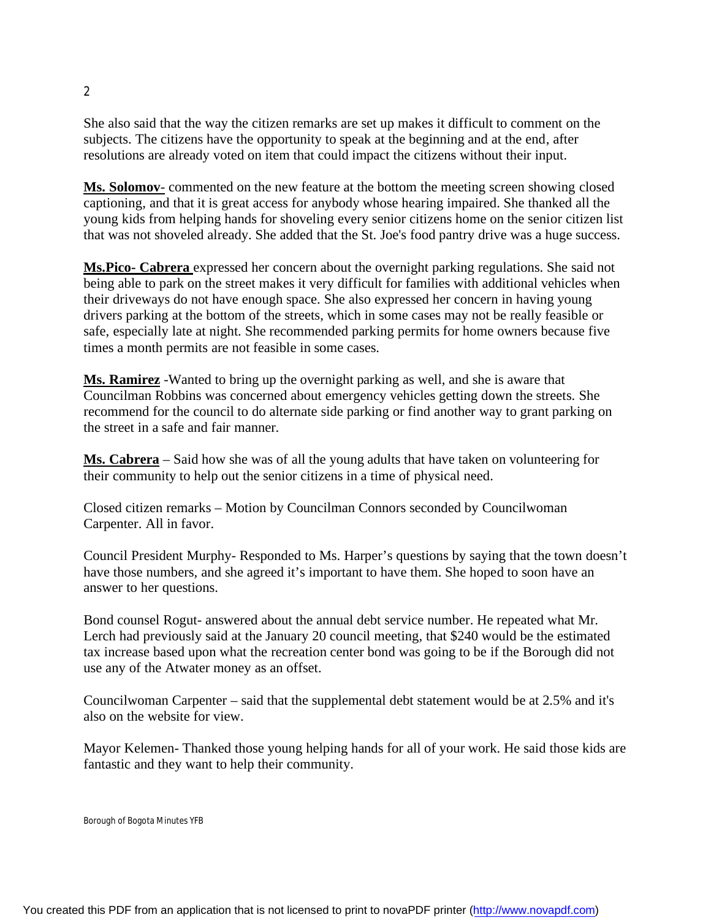She also said that the way the citizen remarks are set up makes it difficult to comment on the subjects. The citizens have the opportunity to speak at the beginning and at the end, after resolutions are already voted on item that could impact the citizens without their input.

**Ms. Solomov**- commented on the new feature at the bottom the meeting screen showing closed captioning, and that it is great access for anybody whose hearing impaired. She thanked all the young kids from helping hands for shoveling every senior citizens home on the senior citizen list that was not shoveled already. She added that the St. Joe's food pantry drive was a huge success.

**Ms.Pico- Cabrera** expressed her concern about the overnight parking regulations. She said not being able to park on the street makes it very difficult for families with additional vehicles when their driveways do not have enough space. She also expressed her concern in having young drivers parking at the bottom of the streets, which in some cases may not be really feasible or safe, especially late at night. She recommended parking permits for home owners because five times a month permits are not feasible in some cases.

**Ms. Ramirez** -Wanted to bring up the overnight parking as well, and she is aware that Councilman Robbins was concerned about emergency vehicles getting down the streets. She recommend for the council to do alternate side parking or find another way to grant parking on the street in a safe and fair manner.

**Ms. Cabrera** – Said how she was of all the young adults that have taken on volunteering for their community to help out the senior citizens in a time of physical need.

Closed citizen remarks – Motion by Councilman Connors seconded by Councilwoman Carpenter. All in favor.

Council President Murphy- Responded to Ms. Harper's questions by saying that the town doesn't have those numbers, and she agreed it's important to have them. She hoped to soon have an answer to her questions.

Bond counsel Rogut- answered about the annual debt service number. He repeated what Mr. Lerch had previously said at the January 20 council meeting, that \$240 would be the estimated tax increase based upon what the recreation center bond was going to be if the Borough did not use any of the Atwater money as an offset.

Councilwoman Carpenter – said that the supplemental debt statement would be at 2.5% and it's also on the website for view.

Mayor Kelemen- Thanked those young helping hands for all of your work. He said those kids are fantastic and they want to help their community.

```
Borough of Bogota Minutes YFB
```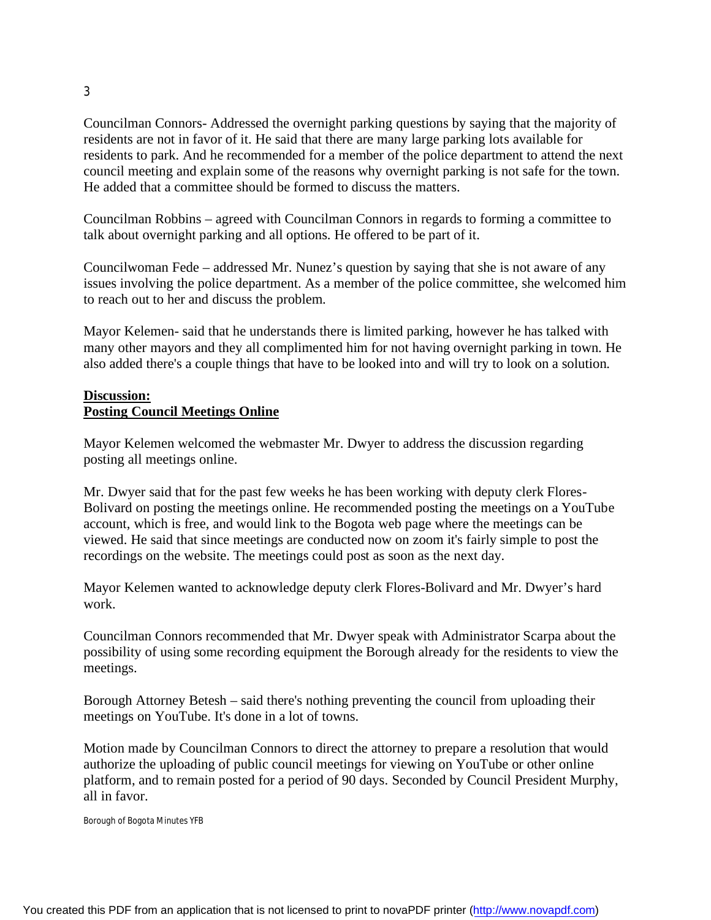Councilman Connors- Addressed the overnight parking questions by saying that the majority of residents are not in favor of it. He said that there are many large parking lots available for residents to park. And he recommended for a member of the police department to attend the next council meeting and explain some of the reasons why overnight parking is not safe for the town. He added that a committee should be formed to discuss the matters.

Councilman Robbins – agreed with Councilman Connors in regards to forming a committee to talk about overnight parking and all options. He offered to be part of it.

Councilwoman Fede – addressed Mr. Nunez's question by saying that she is not aware of any issues involving the police department. As a member of the police committee, she welcomed him to reach out to her and discuss the problem.

Mayor Kelemen- said that he understands there is limited parking, however he has talked with many other mayors and they all complimented him for not having overnight parking in town. He also added there's a couple things that have to be looked into and will try to look on a solution.

# **Discussion: Posting Council Meetings Online**

Mayor Kelemen welcomed the webmaster Mr. Dwyer to address the discussion regarding posting all meetings online.

Mr. Dwyer said that for the past few weeks he has been working with deputy clerk Flores-Bolivard on posting the meetings online. He recommended posting the meetings on a YouTube account, which is free, and would link to the Bogota web page where the meetings can be viewed. He said that since meetings are conducted now on zoom it's fairly simple to post the recordings on the website. The meetings could post as soon as the next day.

Mayor Kelemen wanted to acknowledge deputy clerk Flores-Bolivard and Mr. Dwyer's hard work.

Councilman Connors recommended that Mr. Dwyer speak with Administrator Scarpa about the possibility of using some recording equipment the Borough already for the residents to view the meetings.

Borough Attorney Betesh – said there's nothing preventing the council from uploading their meetings on YouTube. It's done in a lot of towns.

Motion made by Councilman Connors to direct the attorney to prepare a resolution that would authorize the uploading of public council meetings for viewing on YouTube or other online platform, and to remain posted for a period of 90 days. Seconded by Council President Murphy, all in favor.

Borough of Bogota Minutes YFB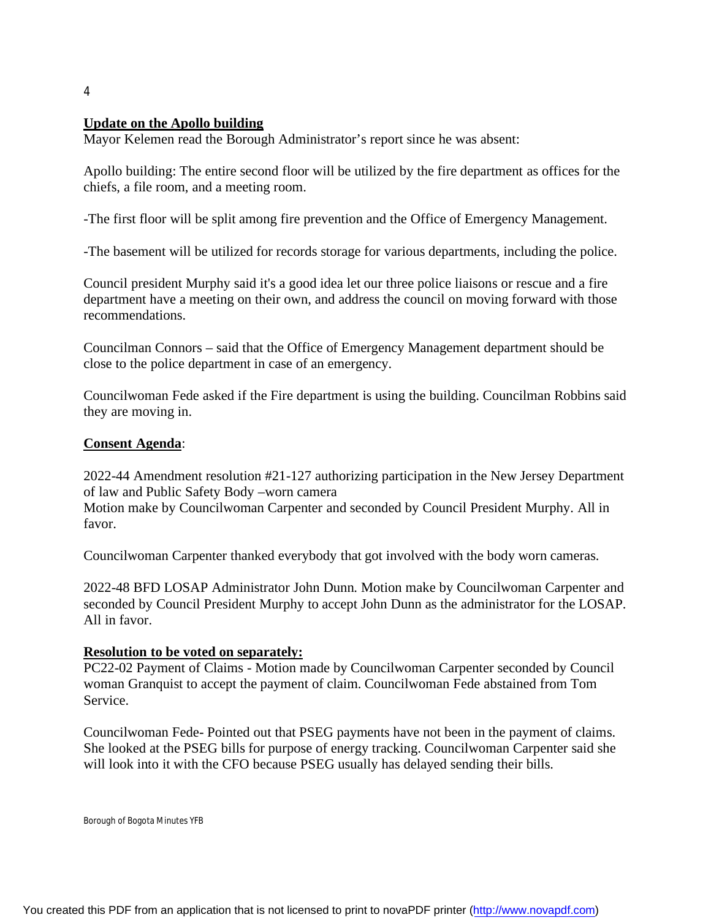## **Update on the Apollo building**

Mayor Kelemen read the Borough Administrator's report since he was absent:

Apollo building: The entire second floor will be utilized by the fire department as offices for the chiefs, a file room, and a meeting room.

-The first floor will be split among fire prevention and the Office of Emergency Management.

-The basement will be utilized for records storage for various departments, including the police.

Council president Murphy said it's a good idea let our three police liaisons or rescue and a fire department have a meeting on their own, and address the council on moving forward with those recommendations.

Councilman Connors – said that the Office of Emergency Management department should be close to the police department in case of an emergency.

Councilwoman Fede asked if the Fire department is using the building. Councilman Robbins said they are moving in.

#### **Consent Agenda**:

2022-44 Amendment resolution #21-127 authorizing participation in the New Jersey Department of law and Public Safety Body –worn camera

Motion make by Councilwoman Carpenter and seconded by Council President Murphy. All in favor.

Councilwoman Carpenter thanked everybody that got involved with the body worn cameras.

2022-48 BFD LOSAP Administrator John Dunn. Motion make by Councilwoman Carpenter and seconded by Council President Murphy to accept John Dunn as the administrator for the LOSAP. All in favor.

#### **Resolution to be voted on separately:**

PC22-02 Payment of Claims - Motion made by Councilwoman Carpenter seconded by Council woman Granquist to accept the payment of claim. Councilwoman Fede abstained from Tom Service.

Councilwoman Fede- Pointed out that PSEG payments have not been in the payment of claims. She looked at the PSEG bills for purpose of energy tracking. Councilwoman Carpenter said she will look into it with the CFO because PSEG usually has delayed sending their bills.

```
Borough of Bogota Minutes YFB
```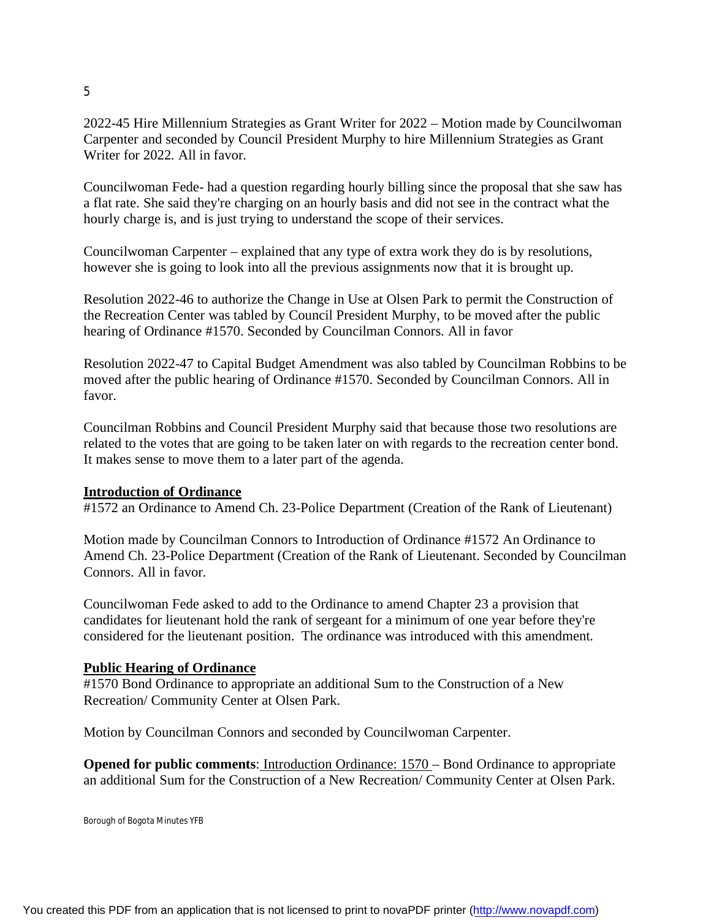2022-45 Hire Millennium Strategies as Grant Writer for 2022 – Motion made by Councilwoman Carpenter and seconded by Council President Murphy to hire Millennium Strategies as Grant Writer for 2022. All in favor.

Councilwoman Fede- had a question regarding hourly billing since the proposal that she saw has a flat rate. She said they're charging on an hourly basis and did not see in the contract what the hourly charge is, and is just trying to understand the scope of their services.

Councilwoman Carpenter – explained that any type of extra work they do is by resolutions, however she is going to look into all the previous assignments now that it is brought up.

Resolution 2022-46 to authorize the Change in Use at Olsen Park to permit the Construction of the Recreation Center was tabled by Council President Murphy, to be moved after the public hearing of Ordinance #1570. Seconded by Councilman Connors. All in favor

Resolution 2022-47 to Capital Budget Amendment was also tabled by Councilman Robbins to be moved after the public hearing of Ordinance #1570. Seconded by Councilman Connors. All in favor.

Councilman Robbins and Council President Murphy said that because those two resolutions are related to the votes that are going to be taken later on with regards to the recreation center bond. It makes sense to move them to a later part of the agenda.

## **Introduction of Ordinance**

#1572 an Ordinance to Amend Ch. 23-Police Department (Creation of the Rank of Lieutenant)

Motion made by Councilman Connors to Introduction of Ordinance #1572 An Ordinance to Amend Ch. 23-Police Department (Creation of the Rank of Lieutenant. Seconded by Councilman Connors. All in favor.

Councilwoman Fede asked to add to the Ordinance to amend Chapter 23 a provision that candidates for lieutenant hold the rank of sergeant for a minimum of one year before they're considered for the lieutenant position. The ordinance was introduced with this amendment.

#### **Public Hearing of Ordinance**

#1570 Bond Ordinance to appropriate an additional Sum to the Construction of a New Recreation/ Community Center at Olsen Park.

Motion by Councilman Connors and seconded by Councilwoman Carpenter.

**Opened for public comments:** Introduction Ordinance: 1570 – Bond Ordinance to appropriate an additional Sum for the Construction of a New Recreation/ Community Center at Olsen Park.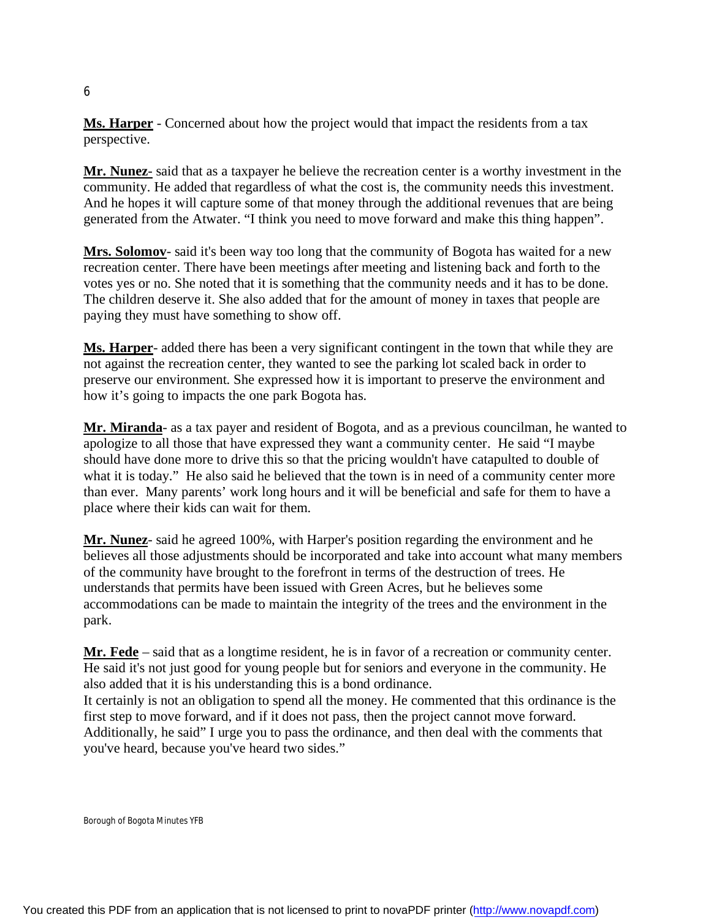**Ms. Harper** - Concerned about how the project would that impact the residents from a tax perspective.

**Mr. Nunez**- said that as a taxpayer he believe the recreation center is a worthy investment in the community. He added that regardless of what the cost is, the community needs this investment. And he hopes it will capture some of that money through the additional revenues that are being generated from the Atwater. "I think you need to move forward and make this thing happen".

**Mrs. Solomov**- said it's been way too long that the community of Bogota has waited for a new recreation center. There have been meetings after meeting and listening back and forth to the votes yes or no. She noted that it is something that the community needs and it has to be done. The children deserve it. She also added that for the amount of money in taxes that people are paying they must have something to show off.

**Ms. Harper**- added there has been a very significant contingent in the town that while they are not against the recreation center, they wanted to see the parking lot scaled back in order to preserve our environment. She expressed how it is important to preserve the environment and how it's going to impacts the one park Bogota has.

**Mr. Miranda**- as a tax payer and resident of Bogota, and as a previous councilman, he wanted to apologize to all those that have expressed they want a community center. He said "I maybe should have done more to drive this so that the pricing wouldn't have catapulted to double of what it is today." He also said he believed that the town is in need of a community center more than ever. Many parents' work long hours and it will be beneficial and safe for them to have a place where their kids can wait for them.

**Mr. Nunez**- said he agreed 100%, with Harper's position regarding the environment and he believes all those adjustments should be incorporated and take into account what many members of the community have brought to the forefront in terms of the destruction of trees. He understands that permits have been issued with Green Acres, but he believes some accommodations can be made to maintain the integrity of the trees and the environment in the park.

**Mr. Fede** – said that as a longtime resident, he is in favor of a recreation or community center. He said it's not just good for young people but for seniors and everyone in the community. He also added that it is his understanding this is a bond ordinance.

It certainly is not an obligation to spend all the money. He commented that this ordinance is the first step to move forward, and if it does not pass, then the project cannot move forward. Additionally, he said" I urge you to pass the ordinance, and then deal with the comments that you've heard, because you've heard two sides."

Borough of Bogota Minutes YFB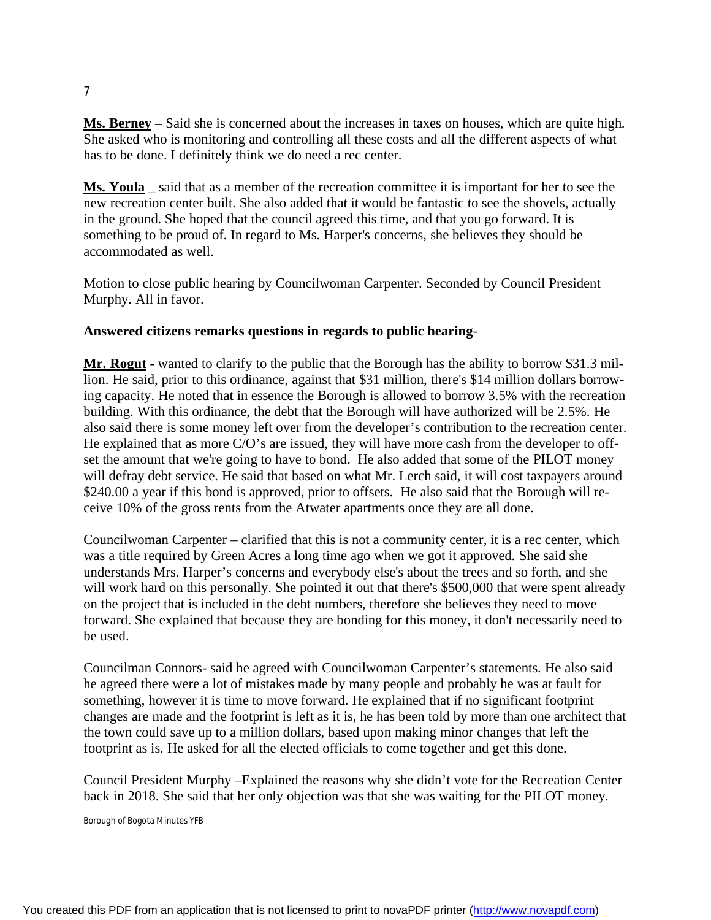**Ms. Berney** – Said she is concerned about the increases in taxes on houses, which are quite high. She asked who is monitoring and controlling all these costs and all the different aspects of what has to be done. I definitely think we do need a rec center.

**Ms. Youla** said that as a member of the recreation committee it is important for her to see the new recreation center built. She also added that it would be fantastic to see the shovels, actually in the ground. She hoped that the council agreed this time, and that you go forward. It is something to be proud of. In regard to Ms. Harper's concerns, she believes they should be accommodated as well.

Motion to close public hearing by Councilwoman Carpenter. Seconded by Council President Murphy. All in favor.

## **Answered citizens remarks questions in regards to public hearing**-

**Mr. Rogut** - wanted to clarify to the public that the Borough has the ability to borrow \$31.3 million. He said, prior to this ordinance, against that \$31 million, there's \$14 million dollars borrowing capacity. He noted that in essence the Borough is allowed to borrow 3.5% with the recreation building. With this ordinance, the debt that the Borough will have authorized will be 2.5%. He also said there is some money left over from the developer's contribution to the recreation center. He explained that as more C/O's are issued, they will have more cash from the developer to offset the amount that we're going to have to bond. He also added that some of the PILOT money will defray debt service. He said that based on what Mr. Lerch said, it will cost taxpayers around \$240.00 a year if this bond is approved, prior to offsets. He also said that the Borough will receive 10% of the gross rents from the Atwater apartments once they are all done.

Councilwoman Carpenter – clarified that this is not a community center, it is a rec center, which was a title required by Green Acres a long time ago when we got it approved. She said she understands Mrs. Harper's concerns and everybody else's about the trees and so forth, and she will work hard on this personally. She pointed it out that there's \$500,000 that were spent already on the project that is included in the debt numbers, therefore she believes they need to move forward. She explained that because they are bonding for this money, it don't necessarily need to be used.

Councilman Connors- said he agreed with Councilwoman Carpenter's statements. He also said he agreed there were a lot of mistakes made by many people and probably he was at fault for something, however it is time to move forward. He explained that if no significant footprint changes are made and the footprint is left as it is, he has been told by more than one architect that the town could save up to a million dollars, based upon making minor changes that left the footprint as is. He asked for all the elected officials to come together and get this done.

Council President Murphy –Explained the reasons why she didn't vote for the Recreation Center back in 2018. She said that her only objection was that she was waiting for the PILOT money.

Borough of Bogota Minutes YFB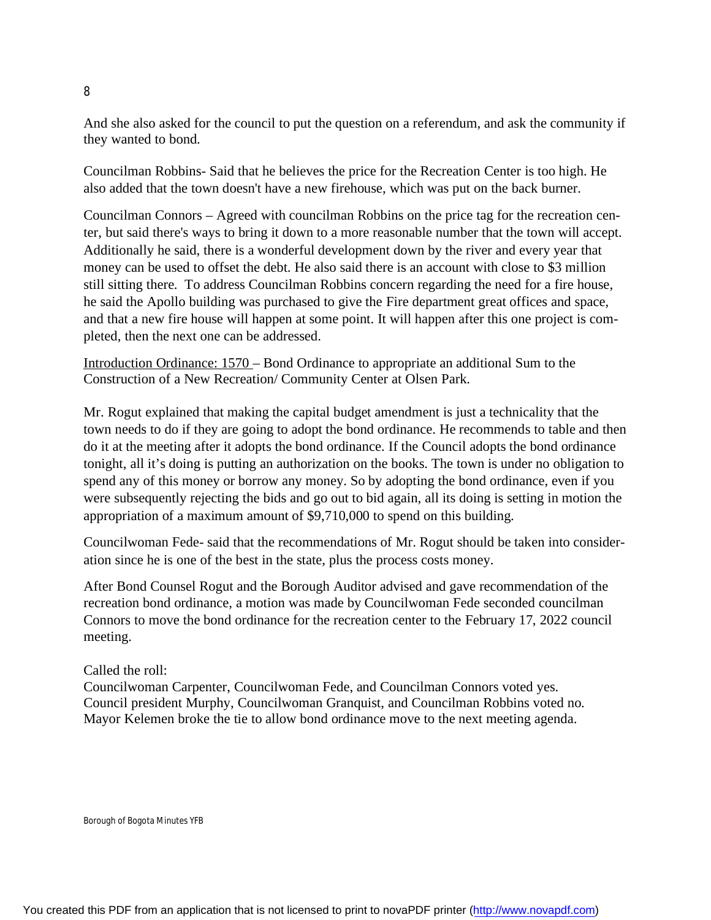And she also asked for the council to put the question on a referendum, and ask the community if they wanted to bond.

Councilman Robbins- Said that he believes the price for the Recreation Center is too high. He also added that the town doesn't have a new firehouse, which was put on the back burner.

Councilman Connors – Agreed with councilman Robbins on the price tag for the recreation center, but said there's ways to bring it down to a more reasonable number that the town will accept. Additionally he said, there is a wonderful development down by the river and every year that money can be used to offset the debt. He also said there is an account with close to \$3 million still sitting there. To address Councilman Robbins concern regarding the need for a fire house, he said the Apollo building was purchased to give the Fire department great offices and space, and that a new fire house will happen at some point. It will happen after this one project is completed, then the next one can be addressed.

Introduction Ordinance: 1570 – Bond Ordinance to appropriate an additional Sum to the Construction of a New Recreation/ Community Center at Olsen Park.

Mr. Rogut explained that making the capital budget amendment is just a technicality that the town needs to do if they are going to adopt the bond ordinance. He recommends to table and then do it at the meeting after it adopts the bond ordinance. If the Council adopts the bond ordinance tonight, all it's doing is putting an authorization on the books. The town is under no obligation to spend any of this money or borrow any money. So by adopting the bond ordinance, even if you were subsequently rejecting the bids and go out to bid again, all its doing is setting in motion the appropriation of a maximum amount of \$9,710,000 to spend on this building.

Councilwoman Fede- said that the recommendations of Mr. Rogut should be taken into consideration since he is one of the best in the state, plus the process costs money.

After Bond Counsel Rogut and the Borough Auditor advised and gave recommendation of the recreation bond ordinance, a motion was made by Councilwoman Fede seconded councilman Connors to move the bond ordinance for the recreation center to the February 17, 2022 council meeting.

## Called the roll:

Councilwoman Carpenter, Councilwoman Fede, and Councilman Connors voted yes. Council president Murphy, Councilwoman Granquist, and Councilman Robbins voted no. Mayor Kelemen broke the tie to allow bond ordinance move to the next meeting agenda.

Borough of Bogota Minutes YFB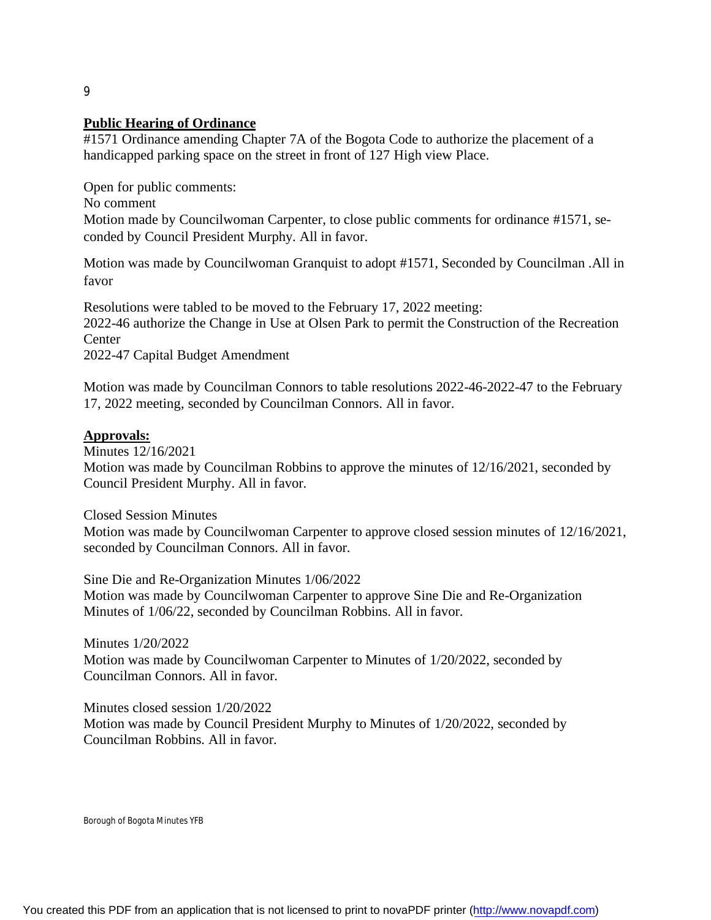#### **Public Hearing of Ordinance**

#1571 Ordinance amending Chapter 7A of the Bogota Code to authorize the placement of a handicapped parking space on the street in front of 127 High view Place.

Open for public comments:

No comment

Motion made by Councilwoman Carpenter, to close public comments for ordinance #1571, seconded by Council President Murphy. All in favor.

Motion was made by Councilwoman Granquist to adopt #1571, Seconded by Councilman .All in favor

Resolutions were tabled to be moved to the February 17, 2022 meeting:

2022-46 authorize the Change in Use at Olsen Park to permit the Construction of the Recreation **Center** 

2022-47 Capital Budget Amendment

Motion was made by Councilman Connors to table resolutions 2022-46-2022-47 to the February 17, 2022 meeting, seconded by Councilman Connors. All in favor.

## **Approvals:**

Minutes 12/16/2021 Motion was made by Councilman Robbins to approve the minutes of 12/16/2021, seconded by Council President Murphy. All in favor.

Closed Session Minutes

Motion was made by Councilwoman Carpenter to approve closed session minutes of 12/16/2021, seconded by Councilman Connors. All in favor.

Sine Die and Re-Organization Minutes 1/06/2022

Motion was made by Councilwoman Carpenter to approve Sine Die and Re-Organization Minutes of 1/06/22, seconded by Councilman Robbins. All in favor.

Minutes 1/20/2022

Motion was made by Councilwoman Carpenter to Minutes of 1/20/2022, seconded by Councilman Connors. All in favor.

Minutes closed session 1/20/2022

Motion was made by Council President Murphy to Minutes of 1/20/2022, seconded by Councilman Robbins. All in favor.

Borough of Bogota Minutes YFB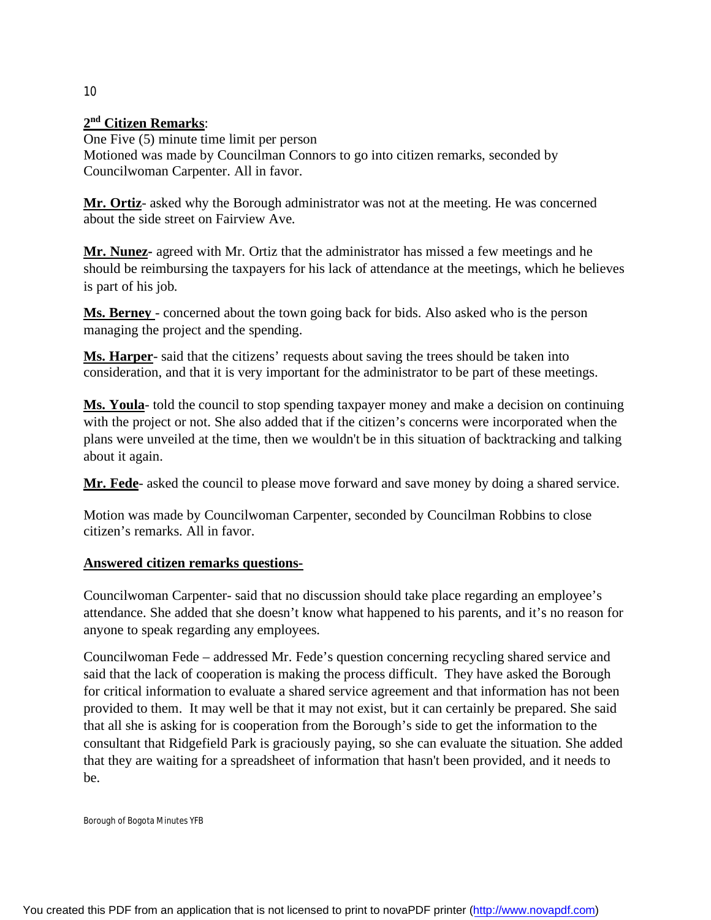# **2 nd Citizen Remarks**:

One Five (5) minute time limit per person Motioned was made by Councilman Connors to go into citizen remarks, seconded by Councilwoman Carpenter. All in favor.

**Mr. Ortiz**- asked why the Borough administrator was not at the meeting. He was concerned about the side street on Fairview Ave.

**Mr. Nunez-** agreed with Mr. Ortiz that the administrator has missed a few meetings and he should be reimbursing the taxpayers for his lack of attendance at the meetings, which he believes is part of his job.

**Ms. Berney** - concerned about the town going back for bids. Also asked who is the person managing the project and the spending.

**Ms. Harper**- said that the citizens' requests about saving the trees should be taken into consideration, and that it is very important for the administrator to be part of these meetings.

**Ms. Youla**- told the council to stop spending taxpayer money and make a decision on continuing with the project or not. She also added that if the citizen's concerns were incorporated when the plans were unveiled at the time, then we wouldn't be in this situation of backtracking and talking about it again.

**Mr. Fede**- asked the council to please move forward and save money by doing a shared service.

Motion was made by Councilwoman Carpenter, seconded by Councilman Robbins to close citizen's remarks. All in favor.

## **Answered citizen remarks questions-**

Councilwoman Carpenter- said that no discussion should take place regarding an employee's attendance. She added that she doesn't know what happened to his parents, and it's no reason for anyone to speak regarding any employees.

Councilwoman Fede – addressed Mr. Fede's question concerning recycling shared service and said that the lack of cooperation is making the process difficult. They have asked the Borough for critical information to evaluate a shared service agreement and that information has not been provided to them. It may well be that it may not exist, but it can certainly be prepared. She said that all she is asking for is cooperation from the Borough's side to get the information to the consultant that Ridgefield Park is graciously paying, so she can evaluate the situation. She added that they are waiting for a spreadsheet of information that hasn't been provided, and it needs to be.

Borough of Bogota Minutes YFB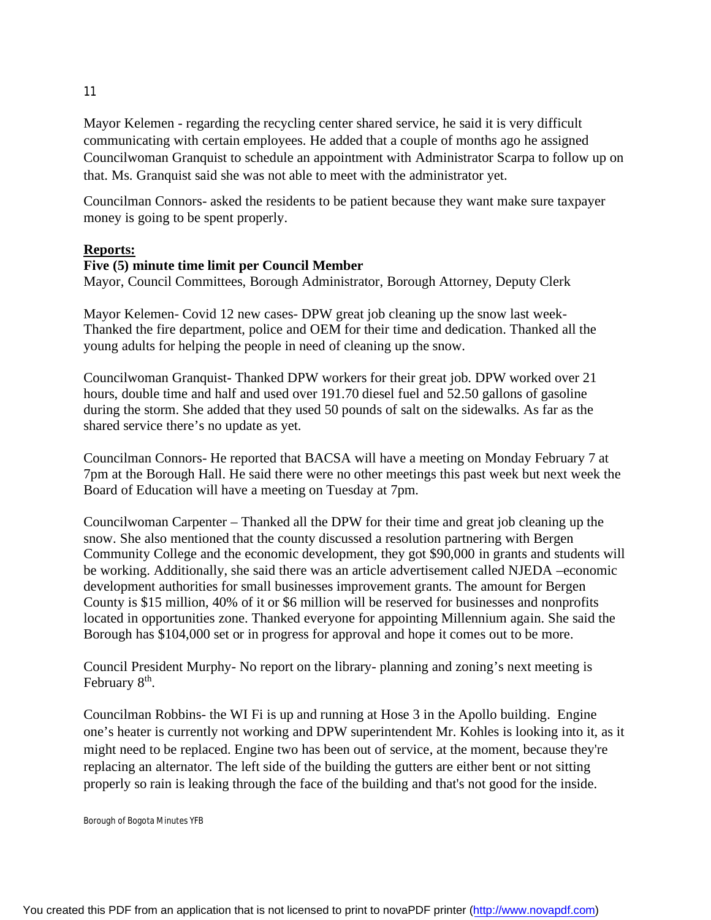Mayor Kelemen - regarding the recycling center shared service, he said it is very difficult communicating with certain employees. He added that a couple of months ago he assigned Councilwoman Granquist to schedule an appointment with Administrator Scarpa to follow up on that. Ms. Granquist said she was not able to meet with the administrator yet.

Councilman Connors- asked the residents to be patient because they want make sure taxpayer money is going to be spent properly.

#### **Reports:**

#### **Five (5) minute time limit per Council Member**

Mayor, Council Committees, Borough Administrator, Borough Attorney, Deputy Clerk

Mayor Kelemen- Covid 12 new cases- DPW great job cleaning up the snow last week-Thanked the fire department, police and OEM for their time and dedication. Thanked all the young adults for helping the people in need of cleaning up the snow.

Councilwoman Granquist- Thanked DPW workers for their great job. DPW worked over 21 hours, double time and half and used over 191.70 diesel fuel and 52.50 gallons of gasoline during the storm. She added that they used 50 pounds of salt on the sidewalks. As far as the shared service there's no update as yet.

Councilman Connors- He reported that BACSA will have a meeting on Monday February 7 at 7pm at the Borough Hall. He said there were no other meetings this past week but next week the Board of Education will have a meeting on Tuesday at 7pm.

Councilwoman Carpenter – Thanked all the DPW for their time and great job cleaning up the snow. She also mentioned that the county discussed a resolution partnering with Bergen Community College and the economic development, they got \$90,000 in grants and students will be working. Additionally, she said there was an article advertisement called NJEDA –economic development authorities for small businesses improvement grants. The amount for Bergen County is \$15 million, 40% of it or \$6 million will be reserved for businesses and nonprofits located in opportunities zone. Thanked everyone for appointing Millennium again. She said the Borough has \$104,000 set or in progress for approval and hope it comes out to be more.

Council President Murphy- No report on the library- planning and zoning's next meeting is February 8<sup>th</sup>.

Councilman Robbins- the WI Fi is up and running at Hose 3 in the Apollo building. Engine one's heater is currently not working and DPW superintendent Mr. Kohles is looking into it, as it might need to be replaced. Engine two has been out of service, at the moment, because they're replacing an alternator. The left side of the building the gutters are either bent or not sitting properly so rain is leaking through the face of the building and that's not good for the inside.

Borough of Bogota Minutes YFB